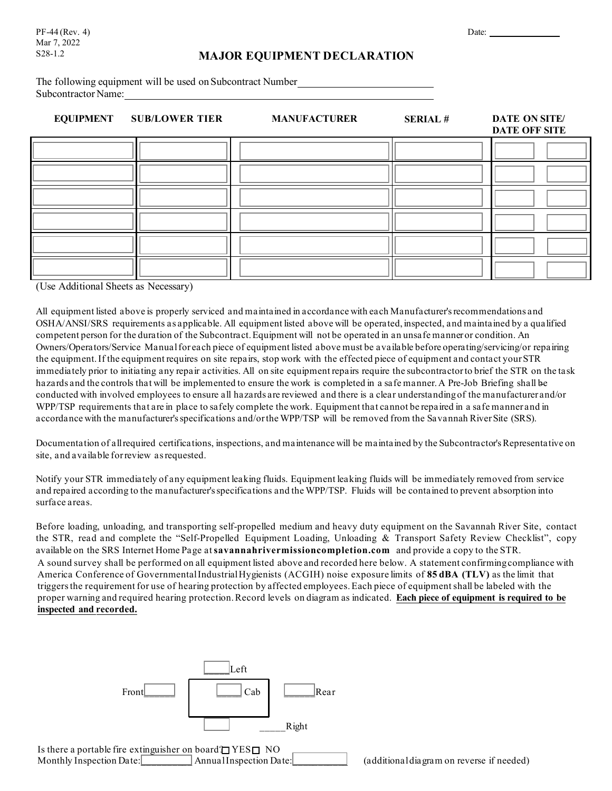# S28-1.2 **MAJOR EQUIPMENT DECLARATION**

The following equipment will be used on Subcontract Number Subcontractor Name:

### **EQUIPMENT SUB/LOWER TIER MANUFACTURER SERIAL # DATE ON SITE/**

**DATE OFF SITE** 

|  |  | <b>DITTE OFF STIP</b> |
|--|--|-----------------------|
|  |  |                       |
|  |  |                       |
|  |  |                       |
|  |  |                       |
|  |  |                       |
|  |  |                       |

(Use Additional Sheets as Necessary)

All equipment listed above is properly serviced and maintained in accordance with each Manufacturer's recommendations and OSHA/ANSI/SRS requirements as applicable. All equipment listed above will be operated, inspected, and maintained by a qualified competent person for the duration of the Subcontract. Equipment will not be operated in an unsafe manner or condition. An Owners/Operators/Service Manual for each piece of equipment listed above must be available before operating/servicing/or repairing the equipment. If the equipment requires on site repairs, stop work with the effected piece of equipment and contact your STR immediately prior to initiating any repair activities. All on site equipment repairs require the subcontractor to brief the STR on the task hazards and the controls that will be implemented to ensure the work is completed in a safe manner. A Pre-Job Briefing shall be conducted with involved employees to ensure all hazards are reviewed and there is a clear understanding of the manufacturer and/or WPP/TSP requirements that are in place to safely complete the work. Equipment that cannot be repaired in a safe manner and in accordance with the manufacturer's specifications and/or the WPP/TSP will be removed from the Savannah River Site (SRS).

Documentation of all required certifications, inspections, and maintenance will be maintained by the Subcontractor's Representative on site, and available for review asrequested.

Notify your STR immediately of any equipment leaking fluids. Equipment leaking fluids will be immediately removed from service and repaired according to the manufacturer's specifications and the WPP/TSP. Fluids will be contained to prevent absorption into surface areas.

Before loading, unloading, and transporting self-propelled medium and heavy duty equipment on the Savannah River Site, contact the STR, read and complete the "Self-Propelled Equipment Loading, Unloading & Transport Safety Review Checklist", copy available on the SRS Internet Home Page at**[savannahrivermissioncompletion.com](http://www.srs.gov/general/busiops/PMMD/general_provisions.htm)** and provide a copy to the STR. A sound survey shall be performed on all equipment listed above and recorded here below. A statement confirming compliance with America Conference of Governmental Industrial Hygienists (ACGIH) noise exposure limits of **85 dBA (TLV)** as the limit that triggersthe requirement for use of hearing protection by affected employees.Each piece of equipmentshall be labeled with the proper warning and required hearing protection. Record levels on diagram as indicated. **Each piece of equipment is required to be inspected and recorded.**



Monthly Inspection Date: Annual Inspection Date: (additional diagram on reverse if needed)